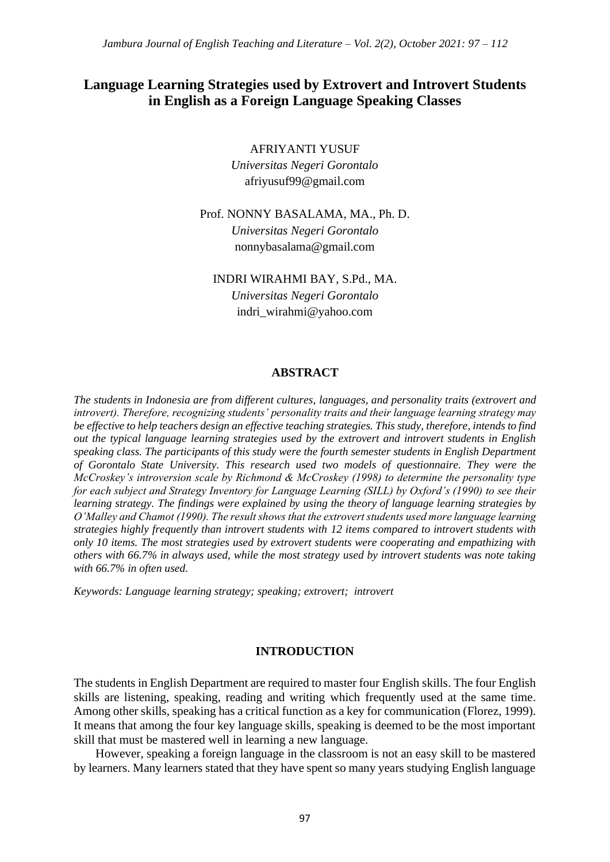# **Language Learning Strategies used by Extrovert and Introvert Students in English as a Foreign Language Speaking Classes**

AFRIYANTI YUSUF

*Universitas Negeri Gorontalo* afriyusuf99@gmail.com

Prof. NONNY BASALAMA, MA., Ph. D. *Universitas Negeri Gorontalo*  nonnybasalama@gmail.com

INDRI WIRAHMI BAY, S.Pd., MA.

*Universitas Negeri Gorontalo*  indri\_wirahmi@yahoo.com

## **ABSTRACT**

*The students in Indonesia are from different cultures, languages, and personality traits (extrovert and introvert). Therefore, recognizing students' personality traits and their language learning strategy may be effective to help teachers design an effective teaching strategies. This study, therefore, intends to find out the typical language learning strategies used by the extrovert and introvert students in English speaking class. The participants of this study were the fourth semester students in English Department of Gorontalo State University. This research used two models of questionnaire. They were the McCroskey's introversion scale by Richmond & McCroskey (1998) to determine the personality type for each subject and Strategy Inventory for Language Learning (SILL) by Oxford's (1990) to see their learning strategy. The findings were explained by using the theory of language learning strategies by O'Malley and Chamot (1990). The result shows that the extrovert students used more language learning strategies highly frequently than introvert students with 12 items compared to introvert students with only 10 items. The most strategies used by extrovert students were cooperating and empathizing with others with 66.7% in always used, while the most strategy used by introvert students was note taking with 66.7% in often used.*

*Keywords: Language learning strategy; speaking; extrovert; introvert*

## **INTRODUCTION**

The students in English Department are required to master four English skills. The four English skills are listening, speaking, reading and writing which frequently used at the same time. Among other skills, speaking has a critical function as a key for communication (Florez, 1999). It means that among the four key language skills, speaking is deemed to be the most important skill that must be mastered well in learning a new language.

However, speaking a foreign language in the classroom is not an easy skill to be mastered by learners. Many learners stated that they have spent so many years studying English language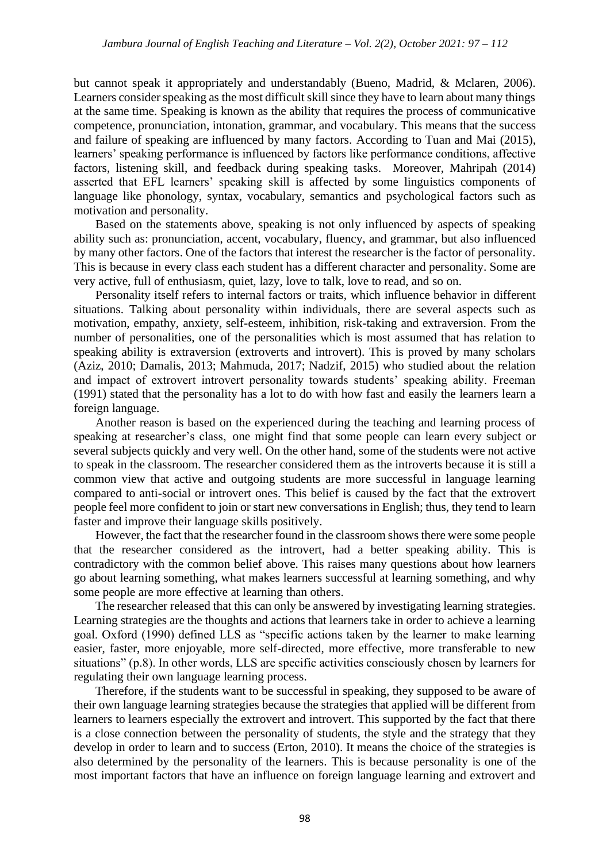but cannot speak it appropriately and understandably (Bueno, Madrid, & Mclaren, 2006). Learners consider speaking as the most difficult skill since they have to learn about many things at the same time. Speaking is known as the ability that requires the process of communicative competence, pronunciation, intonation, grammar, and vocabulary. This means that the success and failure of speaking are influenced by many factors. According to Tuan and Mai (2015), learners' speaking performance is influenced by factors like performance conditions, affective factors, listening skill, and feedback during speaking tasks. Moreover, Mahripah (2014) asserted that EFL learners' speaking skill is affected by some linguistics components of language like phonology, syntax, vocabulary, semantics and psychological factors such as motivation and personality.

Based on the statements above, speaking is not only influenced by aspects of speaking ability such as: pronunciation, accent, vocabulary, fluency, and grammar, but also influenced by many other factors. One of the factors that interest the researcher is the factor of personality. This is because in every class each student has a different character and personality. Some are very active, full of enthusiasm, quiet, lazy, love to talk, love to read, and so on.

Personality itself refers to internal factors or traits, which influence behavior in different situations. Talking about personality within individuals, there are several aspects such as motivation, empathy, anxiety, self-esteem, inhibition, risk-taking and extraversion. From the number of personalities, one of the personalities which is most assumed that has relation to speaking ability is extraversion (extroverts and introvert). This is proved by many scholars (Aziz, 2010; Damalis, 2013; Mahmuda, 2017; Nadzif, 2015) who studied about the relation and impact of extrovert introvert personality towards students' speaking ability. Freeman (1991) stated that the personality has a lot to do with how fast and easily the learners learn a foreign language.

Another reason is based on the experienced during the teaching and learning process of speaking at researcher's class, one might find that some people can learn every subject or several subjects quickly and very well. On the other hand, some of the students were not active to speak in the classroom. The researcher considered them as the introverts because it is still a common view that active and outgoing students are more successful in language learning compared to anti-social or introvert ones. This belief is caused by the fact that the extrovert people feel more confident to join or start new conversations in English; thus, they tend to learn faster and improve their language skills positively.

However, the fact that the researcher found in the classroom shows there were some people that the researcher considered as the introvert, had a better speaking ability. This is contradictory with the common belief above. This raises many questions about how learners go about learning something, what makes learners successful at learning something, and why some people are more effective at learning than others.

The researcher released that this can only be answered by investigating learning strategies. Learning strategies are the thoughts and actions that learners take in order to achieve a learning goal. Oxford (1990) defined LLS as "specific actions taken by the learner to make learning easier, faster, more enjoyable, more self-directed, more effective, more transferable to new situations" (p.8). In other words, LLS are specific activities consciously chosen by learners for regulating their own language learning process.

Therefore, if the students want to be successful in speaking, they supposed to be aware of their own language learning strategies because the strategies that applied will be different from learners to learners especially the extrovert and introvert. This supported by the fact that there is a close connection between the personality of students, the style and the strategy that they develop in order to learn and to success (Erton, 2010). It means the choice of the strategies is also determined by the personality of the learners. This is because personality is one of the most important factors that have an influence on foreign language learning and extrovert and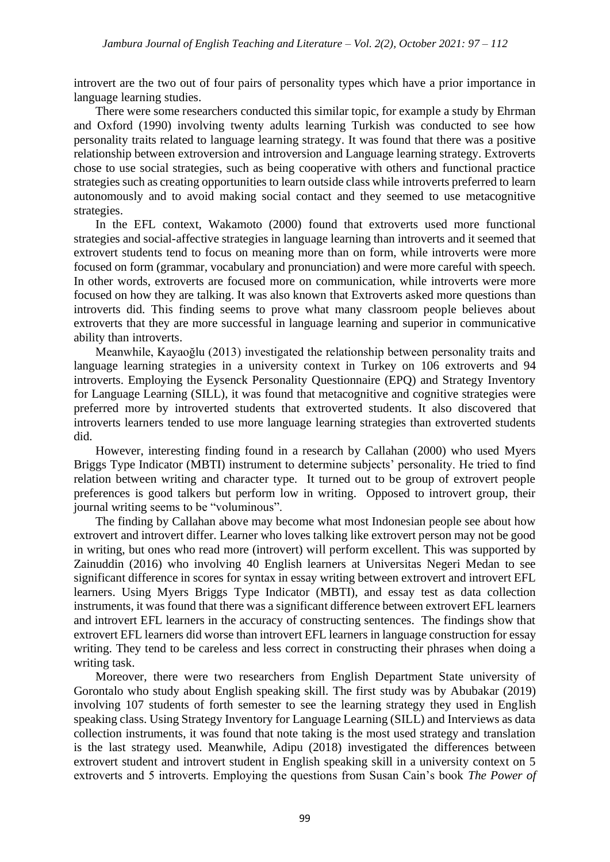introvert are the two out of four pairs of personality types which have a prior importance in language learning studies.

There were some researchers conducted this similar topic, for example a study by Ehrman and Oxford (1990) involving twenty adults learning Turkish was conducted to see how personality traits related to language learning strategy. It was found that there was a positive relationship between extroversion and introversion and Language learning strategy. Extroverts chose to use social strategies, such as being cooperative with others and functional practice strategies such as creating opportunities to learn outside class while introverts preferred to learn autonomously and to avoid making social contact and they seemed to use metacognitive strategies.

In the EFL context, Wakamoto (2000) found that extroverts used more functional strategies and social-affective strategies in language learning than introverts and it seemed that extrovert students tend to focus on meaning more than on form, while introverts were more focused on form (grammar, vocabulary and pronunciation) and were more careful with speech. In other words, extroverts are focused more on communication, while introverts were more focused on how they are talking. It was also known that Extroverts asked more questions than introverts did. This finding seems to prove what many classroom people believes about extroverts that they are more successful in language learning and superior in communicative ability than introverts.

Meanwhile, Kayaoğlu (2013) investigated the relationship between personality traits and language learning strategies in a university context in Turkey on 106 extroverts and 94 introverts. Employing the Eysenck Personality Questionnaire (EPQ) and Strategy Inventory for Language Learning (SILL), it was found that metacognitive and cognitive strategies were preferred more by introverted students that extroverted students. It also discovered that introverts learners tended to use more language learning strategies than extroverted students did.

However, interesting finding found in a research by Callahan (2000) who used Myers Briggs Type Indicator (MBTI) instrument to determine subjects' personality. He tried to find relation between writing and character type. It turned out to be group of extrovert people preferences is good talkers but perform low in writing. Opposed to introvert group, their journal writing seems to be "voluminous".

The finding by Callahan above may become what most Indonesian people see about how extrovert and introvert differ. Learner who loves talking like extrovert person may not be good in writing, but ones who read more (introvert) will perform excellent. This was supported by Zainuddin (2016) who involving 40 English learners at Universitas Negeri Medan to see significant difference in scores for syntax in essay writing between extrovert and introvert EFL learners. Using Myers Briggs Type Indicator (MBTI), and essay test as data collection instruments, it was found that there was a significant difference between extrovert EFL learners and introvert EFL learners in the accuracy of constructing sentences. The findings show that extrovert EFL learners did worse than introvert EFL learners in language construction for essay writing. They tend to be careless and less correct in constructing their phrases when doing a writing task.

Moreover, there were two researchers from English Department State university of Gorontalo who study about English speaking skill. The first study was by Abubakar (2019) involving 107 students of forth semester to see the learning strategy they used in English speaking class. Using Strategy Inventory for Language Learning (SILL) and Interviews as data collection instruments, it was found that note taking is the most used strategy and translation is the last strategy used. Meanwhile, Adipu (2018) investigated the differences between extrovert student and introvert student in English speaking skill in a university context on 5 extroverts and 5 introverts. Employing the questions from Susan Cain's book *The Power of*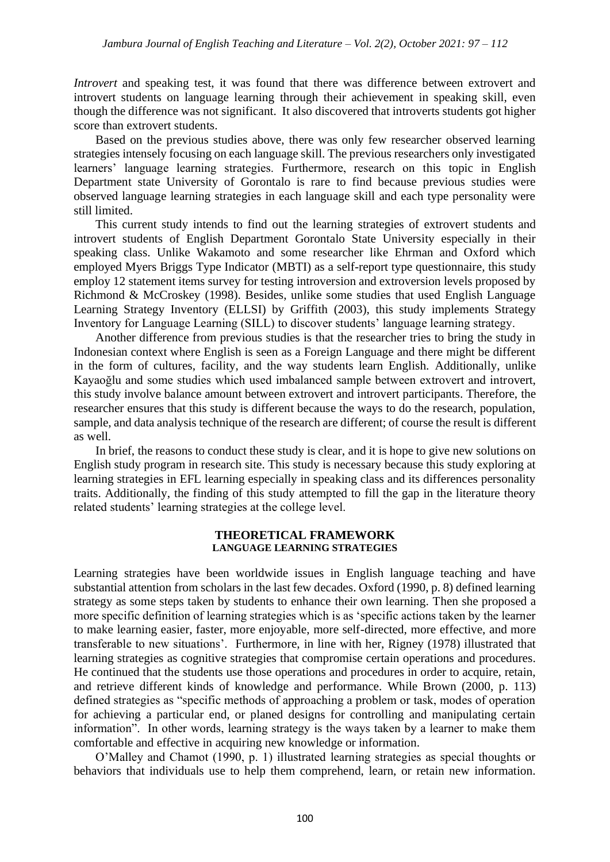*Introvert* and speaking test, it was found that there was difference between extrovert and introvert students on language learning through their achievement in speaking skill, even though the difference was not significant. It also discovered that introverts students got higher score than extrovert students.

Based on the previous studies above, there was only few researcher observed learning strategies intensely focusing on each language skill. The previous researchers only investigated learners' language learning strategies. Furthermore, research on this topic in English Department state University of Gorontalo is rare to find because previous studies were observed language learning strategies in each language skill and each type personality were still limited.

This current study intends to find out the learning strategies of extrovert students and introvert students of English Department Gorontalo State University especially in their speaking class. Unlike Wakamoto and some researcher like Ehrman and Oxford which employed Myers Briggs Type Indicator (MBTI) as a self-report type questionnaire, this study employ 12 statement items survey for testing introversion and extroversion levels proposed by Richmond & McCroskey (1998). Besides, unlike some studies that used English Language Learning Strategy Inventory (ELLSI) by Griffith (2003), this study implements Strategy Inventory for Language Learning (SILL) to discover students' language learning strategy.

Another difference from previous studies is that the researcher tries to bring the study in Indonesian context where English is seen as a Foreign Language and there might be different in the form of cultures, facility, and the way students learn English. Additionally, unlike Kayaoğlu and some studies which used imbalanced sample between extrovert and introvert, this study involve balance amount between extrovert and introvert participants. Therefore, the researcher ensures that this study is different because the ways to do the research, population, sample, and data analysis technique of the research are different; of course the result is different as well.

In brief, the reasons to conduct these study is clear, and it is hope to give new solutions on English study program in research site. This study is necessary because this study exploring at learning strategies in EFL learning especially in speaking class and its differences personality traits. Additionally, the finding of this study attempted to fill the gap in the literature theory related students' learning strategies at the college level.

#### **THEORETICAL FRAMEWORK LANGUAGE LEARNING STRATEGIES**

Learning strategies have been worldwide issues in English language teaching and have substantial attention from scholars in the last few decades. Oxford (1990, p. 8) defined learning strategy as some steps taken by students to enhance their own learning. Then she proposed a more specific definition of learning strategies which is as 'specific actions taken by the learner to make learning easier, faster, more enjoyable, more self-directed, more effective, and more transferable to new situations'. Furthermore, in line with her, Rigney (1978) illustrated that learning strategies as cognitive strategies that compromise certain operations and procedures. He continued that the students use those operations and procedures in order to acquire, retain, and retrieve different kinds of knowledge and performance. While Brown (2000, p. 113) defined strategies as "specific methods of approaching a problem or task, modes of operation for achieving a particular end, or planed designs for controlling and manipulating certain information". In other words, learning strategy is the ways taken by a learner to make them comfortable and effective in acquiring new knowledge or information.

O'Malley and Chamot (1990, p. 1) illustrated learning strategies as special thoughts or behaviors that individuals use to help them comprehend, learn, or retain new information.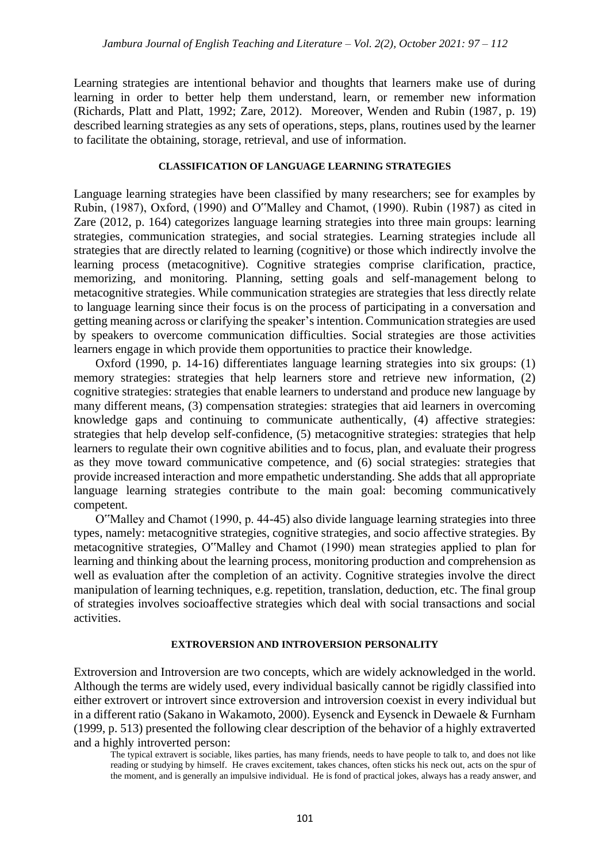Learning strategies are intentional behavior and thoughts that learners make use of during learning in order to better help them understand, learn, or remember new information (Richards, Platt and Platt, 1992; Zare, 2012). Moreover, Wenden and Rubin (1987, p. 19) described learning strategies as any sets of operations, steps, plans, routines used by the learner to facilitate the obtaining, storage, retrieval, and use of information.

#### **CLASSIFICATION OF LANGUAGE LEARNING STRATEGIES**

Language learning strategies have been classified by many researchers; see for examples by Rubin, (1987), Oxford, (1990) and O"Malley and Chamot, (1990). Rubin (1987) as cited in Zare (2012, p. 164) categorizes language learning strategies into three main groups: learning strategies, communication strategies, and social strategies. Learning strategies include all strategies that are directly related to learning (cognitive) or those which indirectly involve the learning process (metacognitive). Cognitive strategies comprise clarification, practice, memorizing, and monitoring. Planning, setting goals and self-management belong to metacognitive strategies. While communication strategies are strategies that less directly relate to language learning since their focus is on the process of participating in a conversation and getting meaning across or clarifying the speaker's intention. Communication strategies are used by speakers to overcome communication difficulties. Social strategies are those activities learners engage in which provide them opportunities to practice their knowledge.

Oxford (1990, p. 14-16) differentiates language learning strategies into six groups: (1) memory strategies: strategies that help learners store and retrieve new information, (2) cognitive strategies: strategies that enable learners to understand and produce new language by many different means, (3) compensation strategies: strategies that aid learners in overcoming knowledge gaps and continuing to communicate authentically, (4) affective strategies: strategies that help develop self-confidence, (5) metacognitive strategies: strategies that help learners to regulate their own cognitive abilities and to focus, plan, and evaluate their progress as they move toward communicative competence, and (6) social strategies: strategies that provide increased interaction and more empathetic understanding. She adds that all appropriate language learning strategies contribute to the main goal: becoming communicatively competent.

O"Malley and Chamot (1990, p. 44-45) also divide language learning strategies into three types, namely: metacognitive strategies, cognitive strategies, and socio affective strategies. By metacognitive strategies, O"Malley and Chamot (1990) mean strategies applied to plan for learning and thinking about the learning process, monitoring production and comprehension as well as evaluation after the completion of an activity. Cognitive strategies involve the direct manipulation of learning techniques, e.g. repetition, translation, deduction, etc. The final group of strategies involves socioaffective strategies which deal with social transactions and social activities.

### **EXTROVERSION AND INTROVERSION PERSONALITY**

Extroversion and Introversion are two concepts, which are widely acknowledged in the world. Although the terms are widely used, every individual basically cannot be rigidly classified into either extrovert or introvert since extroversion and introversion coexist in every individual but in a different ratio (Sakano in Wakamoto, 2000). Eysenck and Eysenck in Dewaele & Furnham (1999, p. 513) presented the following clear description of the behavior of a highly extraverted and a highly introverted person:

The typical extravert is sociable, likes parties, has many friends, needs to have people to talk to, and does not like reading or studying by himself. He craves excitement, takes chances, often sticks his neck out, acts on the spur of the moment, and is generally an impulsive individual. He is fond of practical jokes, always has a ready answer, and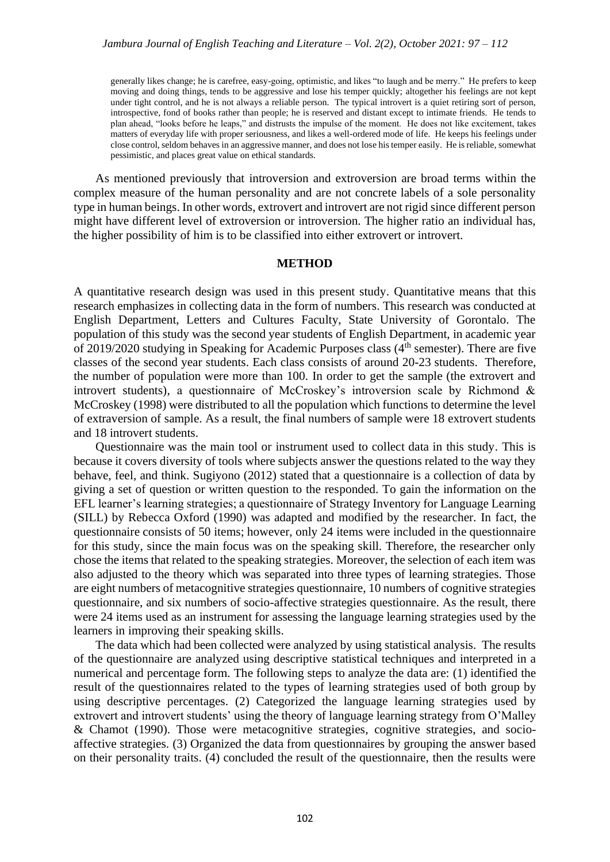generally likes change; he is carefree, easy-going, optimistic, and likes "to laugh and be merry." He prefers to keep moving and doing things, tends to be aggressive and lose his temper quickly; altogether his feelings are not kept under tight control, and he is not always a reliable person. The typical introvert is a quiet retiring sort of person, introspective, fond of books rather than people; he is reserved and distant except to intimate friends. He tends to plan ahead, "looks before he leaps," and distrusts the impulse of the moment. He does not like excitement, takes matters of everyday life with proper seriousness, and likes a well-ordered mode of life. He keeps his feelings under close control, seldom behaves in an aggressive manner, and does not lose his temper easily. He is reliable, somewhat pessimistic, and places great value on ethical standards.

As mentioned previously that introversion and extroversion are broad terms within the complex measure of the human personality and are not concrete labels of a sole personality type in human beings. In other words, extrovert and introvert are not rigid since different person might have different level of extroversion or introversion. The higher ratio an individual has, the higher possibility of him is to be classified into either extrovert or introvert.

### **METHOD**

A quantitative research design was used in this present study. Quantitative means that this research emphasizes in collecting data in the form of numbers. This research was conducted at English Department, Letters and Cultures Faculty, State University of Gorontalo. The population of this study was the second year students of English Department, in academic year of 2019/2020 studying in Speaking for Academic Purposes class (4<sup>th</sup> semester). There are five classes of the second year students. Each class consists of around 20-23 students. Therefore, the number of population were more than 100. In order to get the sample (the extrovert and introvert students), a questionnaire of McCroskey's introversion scale by Richmond & McCroskey (1998) were distributed to all the population which functions to determine the level of extraversion of sample. As a result, the final numbers of sample were 18 extrovert students and 18 introvert students.

Questionnaire was the main tool or instrument used to collect data in this study. This is because it covers diversity of tools where subjects answer the questions related to the way they behave, feel, and think. Sugiyono (2012) stated that a questionnaire is a collection of data by giving a set of question or written question to the responded. To gain the information on the EFL learner's learning strategies; a questionnaire of Strategy Inventory for Language Learning (SILL) by Rebecca Oxford (1990) was adapted and modified by the researcher. In fact, the questionnaire consists of 50 items; however, only 24 items were included in the questionnaire for this study, since the main focus was on the speaking skill. Therefore, the researcher only chose the items that related to the speaking strategies. Moreover, the selection of each item was also adjusted to the theory which was separated into three types of learning strategies. Those are eight numbers of metacognitive strategies questionnaire, 10 numbers of cognitive strategies questionnaire, and six numbers of socio-affective strategies questionnaire. As the result, there were 24 items used as an instrument for assessing the language learning strategies used by the learners in improving their speaking skills.

The data which had been collected were analyzed by using statistical analysis. The results of the questionnaire are analyzed using descriptive statistical techniques and interpreted in a numerical and percentage form. The following steps to analyze the data are: (1) identified the result of the questionnaires related to the types of learning strategies used of both group by using descriptive percentages. (2) Categorized the language learning strategies used by extrovert and introvert students' using the theory of language learning strategy from O'Malley & Chamot (1990). Those were metacognitive strategies, cognitive strategies, and socioaffective strategies. (3) Organized the data from questionnaires by grouping the answer based on their personality traits. (4) concluded the result of the questionnaire, then the results were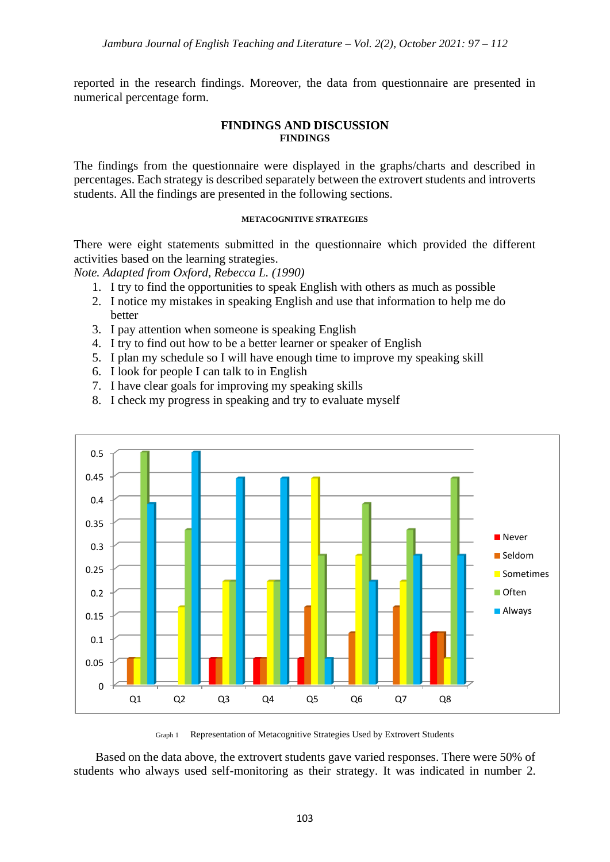reported in the research findings. Moreover, the data from questionnaire are presented in numerical percentage form.

### **FINDINGS AND DISCUSSION FINDINGS**

The findings from the questionnaire were displayed in the graphs/charts and described in percentages. Each strategy is described separately between the extrovert students and introverts students. All the findings are presented in the following sections.

### **METACOGNITIVE STRATEGIES**

There were eight statements submitted in the questionnaire which provided the different activities based on the learning strategies.

*Note. Adapted from Oxford, Rebecca L. (1990)*

- 1. I try to find the opportunities to speak English with others as much as possible
- 2. I notice my mistakes in speaking English and use that information to help me do better
- 3. I pay attention when someone is speaking English
- 4. I try to find out how to be a better learner or speaker of English
- 5. I plan my schedule so I will have enough time to improve my speaking skill
- 6. I look for people I can talk to in English
- 7. I have clear goals for improving my speaking skills
- 8. I check my progress in speaking and try to evaluate myself



Graph 1 Representation of Metacognitive Strategies Used by Extrovert Students

Based on the data above, the extrovert students gave varied responses. There were 50% of students who always used self-monitoring as their strategy. It was indicated in number 2.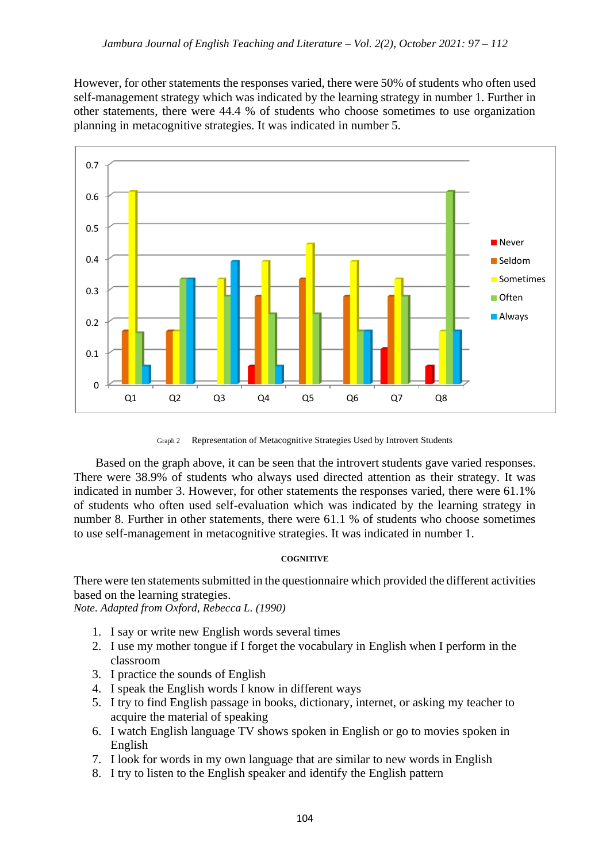However, for other statements the responses varied, there were 50% of students who often used self-management strategy which was indicated by the learning strategy in number 1. Further in other statements, there were 44.4 % of students who choose sometimes to use organization planning in metacognitive strategies. It was indicated in number 5.



Graph 2 Representation of Metacognitive Strategies Used by Introvert Students

Based on the graph above, it can be seen that the introvert students gave varied responses. There were 38.9% of students who always used directed attention as their strategy. It was indicated in number 3. However, for other statements the responses varied, there were 61.1% of students who often used self-evaluation which was indicated by the learning strategy in number 8. Further in other statements, there were 61.1 % of students who choose sometimes to use self-management in metacognitive strategies. It was indicated in number 1.

#### **COGNITIVE**

There were ten statements submitted in the questionnaire which provided the different activities based on the learning strategies.

*Note. Adapted from Oxford, Rebecca L. (1990)*

- 1. I say or write new English words several times
- 2. I use my mother tongue if I forget the vocabulary in English when I perform in the classroom
- 3. I practice the sounds of English
- 4. I speak the English words I know in different ways
- 5. I try to find English passage in books, dictionary, internet, or asking my teacher to acquire the material of speaking
- 6. I watch English language TV shows spoken in English or go to movies spoken in English
- 7. I look for words in my own language that are similar to new words in English
- 8. I try to listen to the English speaker and identify the English pattern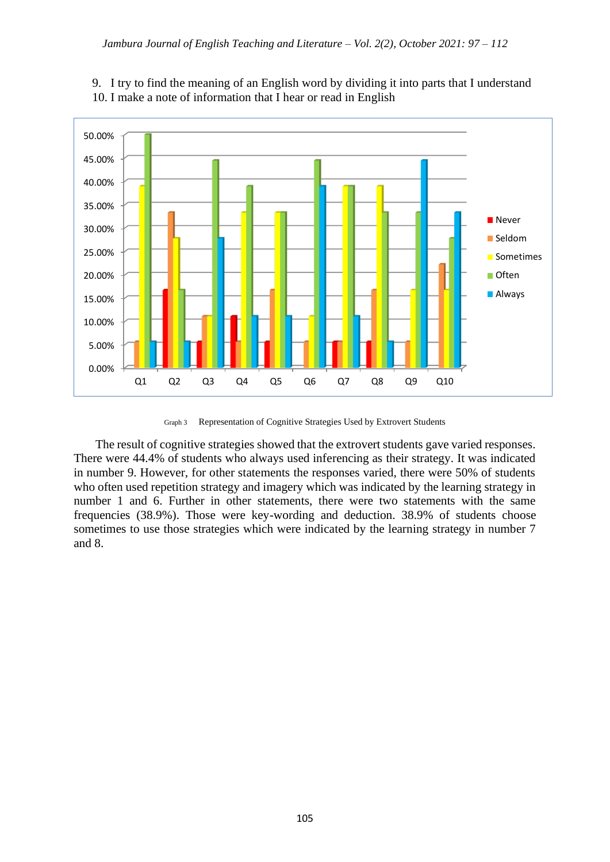

## 9. I try to find the meaning of an English word by dividing it into parts that I understand 10. I make a note of information that I hear or read in English

Graph 3 Representation of Cognitive Strategies Used by Extrovert Students

The result of cognitive strategies showed that the extrovert students gave varied responses. There were 44.4% of students who always used inferencing as their strategy. It was indicated in number 9. However, for other statements the responses varied, there were 50% of students who often used repetition strategy and imagery which was indicated by the learning strategy in number 1 and 6. Further in other statements, there were two statements with the same frequencies (38.9%). Those were key-wording and deduction. 38.9% of students choose sometimes to use those strategies which were indicated by the learning strategy in number 7 and 8.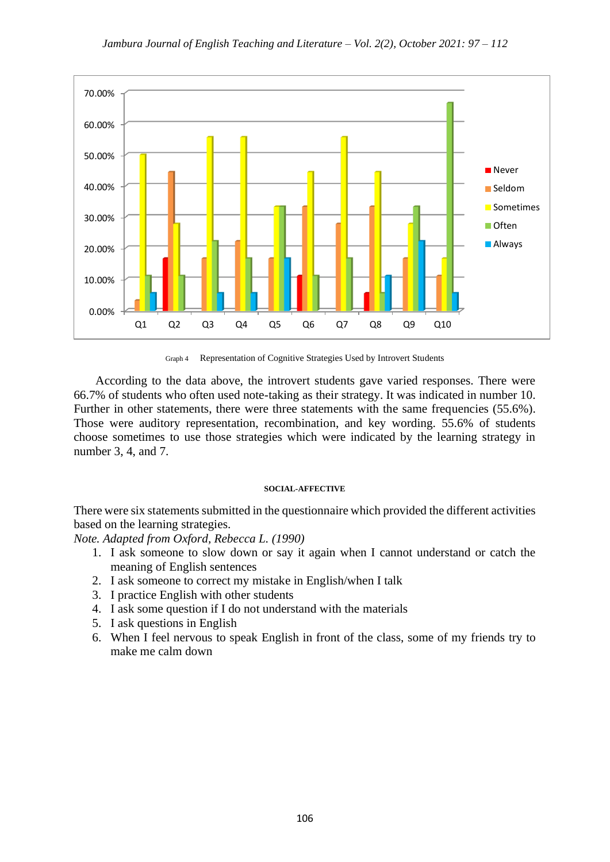

Graph 4 Representation of Cognitive Strategies Used by Introvert Students

According to the data above, the introvert students gave varied responses. There were 66.7% of students who often used note-taking as their strategy. It was indicated in number 10. Further in other statements, there were three statements with the same frequencies (55.6%). Those were auditory representation, recombination, and key wording. 55.6% of students choose sometimes to use those strategies which were indicated by the learning strategy in number 3, 4, and 7.

#### **SOCIAL-AFFECTIVE**

There were six statements submitted in the questionnaire which provided the different activities based on the learning strategies.

*Note. Adapted from Oxford, Rebecca L. (1990)*

- 1. I ask someone to slow down or say it again when I cannot understand or catch the meaning of English sentences
- 2. I ask someone to correct my mistake in English/when I talk
- 3. I practice English with other students
- 4. I ask some question if I do not understand with the materials
- 5. I ask questions in English
- 6. When I feel nervous to speak English in front of the class, some of my friends try to make me calm down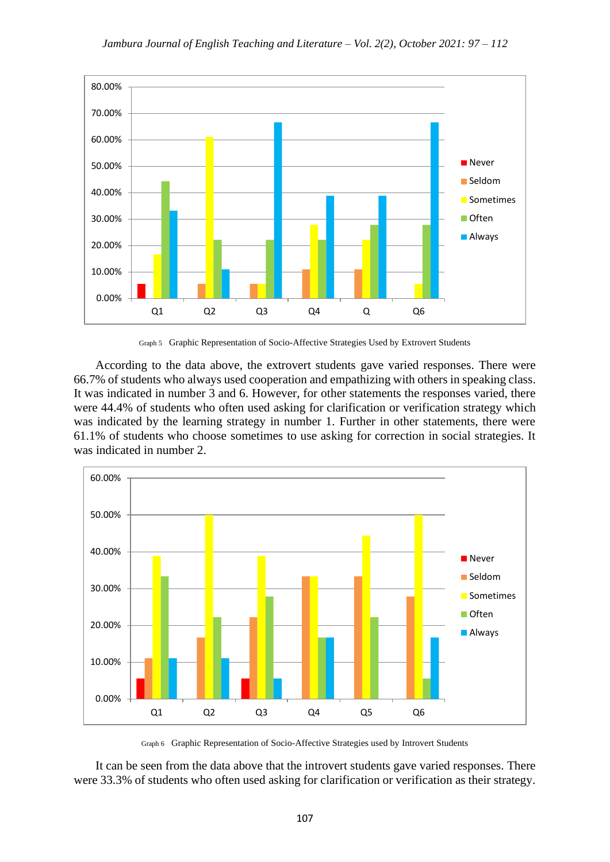

Graph 5 Graphic Representation of Socio-Affective Strategies Used by Extrovert Students

According to the data above, the extrovert students gave varied responses. There were 66.7% of students who always used cooperation and empathizing with others in speaking class. It was indicated in number 3 and 6. However, for other statements the responses varied, there were 44.4% of students who often used asking for clarification or verification strategy which was indicated by the learning strategy in number 1. Further in other statements, there were 61.1% of students who choose sometimes to use asking for correction in social strategies. It was indicated in number 2.



Graph 6 Graphic Representation of Socio-Affective Strategies used by Introvert Students

It can be seen from the data above that the introvert students gave varied responses. There were 33.3% of students who often used asking for clarification or verification as their strategy.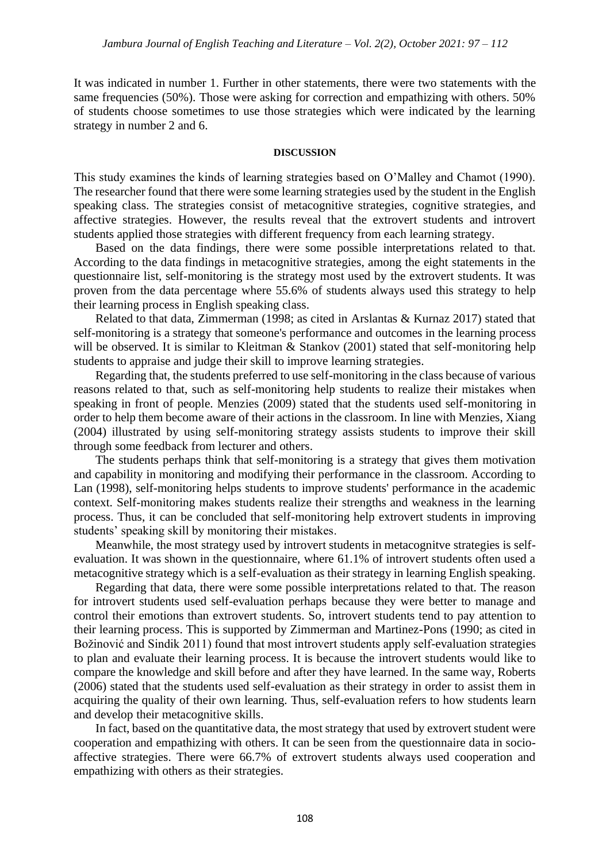It was indicated in number 1. Further in other statements, there were two statements with the same frequencies (50%). Those were asking for correction and empathizing with others. 50% of students choose sometimes to use those strategies which were indicated by the learning strategy in number 2 and 6.

#### **DISCUSSION**

This study examines the kinds of learning strategies based on O'Malley and Chamot (1990). The researcher found that there were some learning strategies used by the student in the English speaking class. The strategies consist of metacognitive strategies, cognitive strategies, and affective strategies. However, the results reveal that the extrovert students and introvert students applied those strategies with different frequency from each learning strategy.

Based on the data findings, there were some possible interpretations related to that. According to the data findings in metacognitive strategies, among the eight statements in the questionnaire list, self-monitoring is the strategy most used by the extrovert students. It was proven from the data percentage where 55.6% of students always used this strategy to help their learning process in English speaking class.

Related to that data, Zimmerman (1998; as cited in Arslantas & Kurnaz 2017) stated that self-monitoring is a strategy that someone's performance and outcomes in the learning process will be observed. It is similar to Kleitman & Stankov (2001) stated that self-monitoring help students to appraise and judge their skill to improve learning strategies.

Regarding that, the students preferred to use self-monitoring in the class because of various reasons related to that, such as self-monitoring help students to realize their mistakes when speaking in front of people. Menzies (2009) stated that the students used self-monitoring in order to help them become aware of their actions in the classroom. In line with Menzies, Xiang (2004) illustrated by using self-monitoring strategy assists students to improve their skill through some feedback from lecturer and others.

The students perhaps think that self-monitoring is a strategy that gives them motivation and capability in monitoring and modifying their performance in the classroom. According to Lan (1998), self-monitoring helps students to improve students' performance in the academic context. Self-monitoring makes students realize their strengths and weakness in the learning process. Thus, it can be concluded that self-monitoring help extrovert students in improving students' speaking skill by monitoring their mistakes.

Meanwhile, the most strategy used by introvert students in metacognitve strategies is selfevaluation. It was shown in the questionnaire, where 61.1% of introvert students often used a metacognitive strategy which is a self-evaluation as their strategy in learning English speaking.

Regarding that data, there were some possible interpretations related to that. The reason for introvert students used self-evaluation perhaps because they were better to manage and control their emotions than extrovert students. So, introvert students tend to pay attention to their learning process. This is supported by Zimmerman and Martinez-Pons (1990; as cited in Božinović and Sindik 2011) found that most introvert students apply self-evaluation strategies to plan and evaluate their learning process. It is because the introvert students would like to compare the knowledge and skill before and after they have learned. In the same way, Roberts (2006) stated that the students used self-evaluation as their strategy in order to assist them in acquiring the quality of their own learning. Thus, self-evaluation refers to how students learn and develop their metacognitive skills.

In fact, based on the quantitative data, the most strategy that used by extrovert student were cooperation and empathizing with others. It can be seen from the questionnaire data in socioaffective strategies. There were 66.7% of extrovert students always used cooperation and empathizing with others as their strategies.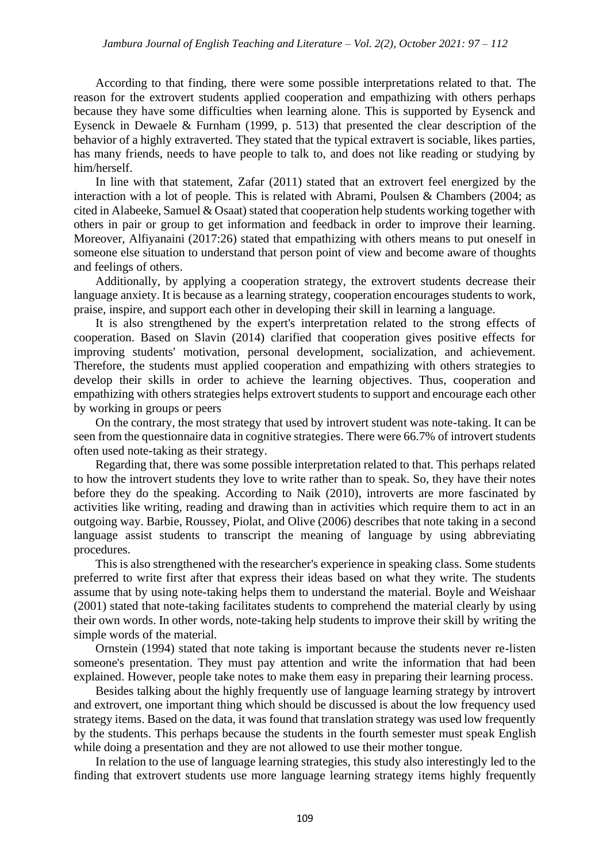According to that finding, there were some possible interpretations related to that. The reason for the extrovert students applied cooperation and empathizing with others perhaps because they have some difficulties when learning alone. This is supported by Eysenck and Eysenck in Dewaele & Furnham (1999, p. 513) that presented the clear description of the behavior of a highly extraverted. They stated that the typical extravert is sociable, likes parties, has many friends, needs to have people to talk to, and does not like reading or studying by him/herself.

In line with that statement, Zafar (2011) stated that an extrovert feel energized by the interaction with a lot of people. This is related with Abrami, Poulsen & Chambers (2004; as cited in Alabeeke, Samuel & Osaat) stated that cooperation help students working together with others in pair or group to get information and feedback in order to improve their learning. Moreover, Alfiyanaini (2017:26) stated that empathizing with others means to put oneself in someone else situation to understand that person point of view and become aware of thoughts and feelings of others.

Additionally, by applying a cooperation strategy, the extrovert students decrease their language anxiety. It is because as a learning strategy, cooperation encourages students to work, praise, inspire, and support each other in developing their skill in learning a language.

It is also strengthened by the expert's interpretation related to the strong effects of cooperation. Based on Slavin (2014) clarified that cooperation gives positive effects for improving students' motivation, personal development, socialization, and achievement. Therefore, the students must applied cooperation and empathizing with others strategies to develop their skills in order to achieve the learning objectives. Thus, cooperation and empathizing with others strategies helps extrovert students to support and encourage each other by working in groups or peers

On the contrary, the most strategy that used by introvert student was note-taking. It can be seen from the questionnaire data in cognitive strategies. There were 66.7% of introvert students often used note-taking as their strategy.

Regarding that, there was some possible interpretation related to that. This perhaps related to how the introvert students they love to write rather than to speak. So, they have their notes before they do the speaking. According to Naik (2010), introverts are more fascinated by activities like writing, reading and drawing than in activities which require them to act in an outgoing way. Barbie, Roussey, Piolat, and Olive (2006) describes that note taking in a second language assist students to transcript the meaning of language by using abbreviating procedures.

This is also strengthened with the researcher's experience in speaking class. Some students preferred to write first after that express their ideas based on what they write. The students assume that by using note-taking helps them to understand the material. Boyle and Weishaar (2001) stated that note-taking facilitates students to comprehend the material clearly by using their own words. In other words, note-taking help students to improve their skill by writing the simple words of the material.

Ornstein (1994) stated that note taking is important because the students never re-listen someone's presentation. They must pay attention and write the information that had been explained. However, people take notes to make them easy in preparing their learning process.

Besides talking about the highly frequently use of language learning strategy by introvert and extrovert, one important thing which should be discussed is about the low frequency used strategy items. Based on the data, it was found that translation strategy was used low frequently by the students. This perhaps because the students in the fourth semester must speak English while doing a presentation and they are not allowed to use their mother tongue.

In relation to the use of language learning strategies, this study also interestingly led to the finding that extrovert students use more language learning strategy items highly frequently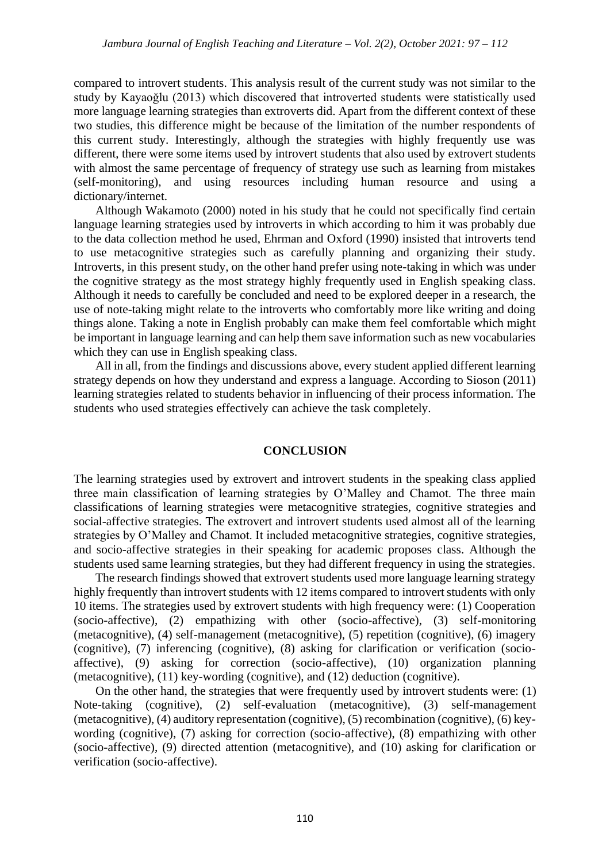compared to introvert students. This analysis result of the current study was not similar to the study by Kayaoğlu (2013) which discovered that introverted students were statistically used more language learning strategies than extroverts did. Apart from the different context of these two studies, this difference might be because of the limitation of the number respondents of this current study. Interestingly, although the strategies with highly frequently use was different, there were some items used by introvert students that also used by extrovert students with almost the same percentage of frequency of strategy use such as learning from mistakes (self-monitoring), and using resources including human resource and using a dictionary/internet.

Although Wakamoto (2000) noted in his study that he could not specifically find certain language learning strategies used by introverts in which according to him it was probably due to the data collection method he used, Ehrman and Oxford (1990) insisted that introverts tend to use metacognitive strategies such as carefully planning and organizing their study. Introverts, in this present study, on the other hand prefer using note-taking in which was under the cognitive strategy as the most strategy highly frequently used in English speaking class. Although it needs to carefully be concluded and need to be explored deeper in a research, the use of note-taking might relate to the introverts who comfortably more like writing and doing things alone. Taking a note in English probably can make them feel comfortable which might be important in language learning and can help them save information such as new vocabularies which they can use in English speaking class.

All in all, from the findings and discussions above, every student applied different learning strategy depends on how they understand and express a language. According to Sioson (2011) learning strategies related to students behavior in influencing of their process information. The students who used strategies effectively can achieve the task completely.

### **CONCLUSION**

The learning strategies used by extrovert and introvert students in the speaking class applied three main classification of learning strategies by O'Malley and Chamot. The three main classifications of learning strategies were metacognitive strategies, cognitive strategies and social-affective strategies. The extrovert and introvert students used almost all of the learning strategies by O'Malley and Chamot. It included metacognitive strategies, cognitive strategies, and socio-affective strategies in their speaking for academic proposes class. Although the students used same learning strategies, but they had different frequency in using the strategies.

The research findings showed that extrovert students used more language learning strategy highly frequently than introvert students with 12 items compared to introvert students with only 10 items. The strategies used by extrovert students with high frequency were: (1) Cooperation (socio-affective), (2) empathizing with other (socio-affective), (3) self-monitoring (metacognitive), (4) self-management (metacognitive), (5) repetition (cognitive), (6) imagery (cognitive), (7) inferencing (cognitive), (8) asking for clarification or verification (socioaffective), (9) asking for correction (socio-affective), (10) organization planning (metacognitive), (11) key-wording (cognitive), and (12) deduction (cognitive).

On the other hand, the strategies that were frequently used by introvert students were: (1) Note-taking (cognitive), (2) self-evaluation (metacognitive), (3) self-management (metacognitive), (4) auditory representation (cognitive), (5) recombination (cognitive), (6) keywording (cognitive), (7) asking for correction (socio-affective), (8) empathizing with other (socio-affective), (9) directed attention (metacognitive), and (10) asking for clarification or verification (socio-affective).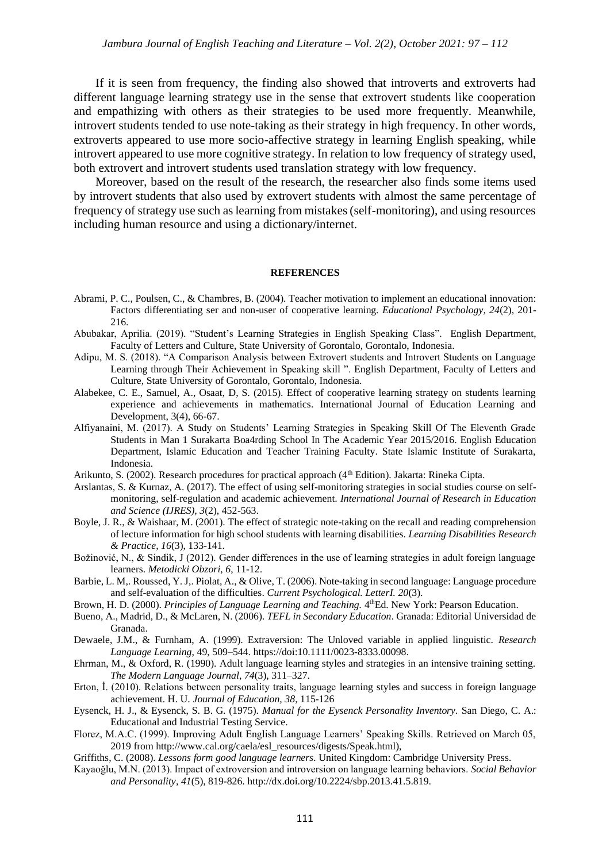If it is seen from frequency, the finding also showed that introverts and extroverts had different language learning strategy use in the sense that extrovert students like cooperation and empathizing with others as their strategies to be used more frequently. Meanwhile, introvert students tended to use note-taking as their strategy in high frequency. In other words, extroverts appeared to use more socio-affective strategy in learning English speaking, while introvert appeared to use more cognitive strategy. In relation to low frequency of strategy used, both extrovert and introvert students used translation strategy with low frequency.

Moreover, based on the result of the research, the researcher also finds some items used by introvert students that also used by extrovert students with almost the same percentage of frequency of strategy use such as learning from mistakes (self-monitoring), and using resources including human resource and using a dictionary/internet.

#### **REFERENCES**

- Abrami, P. C., Poulsen, C., & Chambres, B. (2004). Teacher motivation to implement an educational innovation: Factors differentiating ser and non-user of cooperative learning. *Educational Psychology, 24*(2), 201- 216.
- Abubakar, Aprilia. (2019). "Student's Learning Strategies in English Speaking Class". English Department, Faculty of Letters and Culture, State University of Gorontalo, Gorontalo, Indonesia.
- Adipu, M. S. (2018). "A Comparison Analysis between Extrovert students and Introvert Students on Language Learning through Their Achievement in Speaking skill ". English Department, Faculty of Letters and Culture, State University of Gorontalo, Gorontalo, Indonesia.
- Alabekee, C. E., Samuel, A., Osaat, D, S. (2015). Effect of cooperative learning strategy on students learning experience and achievements in mathematics. International Journal of Education Learning and Development, 3(4), 66-67.
- Alfiyanaini, M. (2017). A Study on Students' Learning Strategies in Speaking Skill Of The Eleventh Grade Students in Man 1 Surakarta Boa4rding School In The Academic Year 2015/2016. English Education Department, Islamic Education and Teacher Training Faculty. State Islamic Institute of Surakarta, Indonesia.
- Arikunto, S. (2002). Research procedures for practical approach (4<sup>th</sup> Edition). Jakarta: Rineka Cipta.
- Arslantas, S. & Kurnaz, A. (2017). The effect of using self-monitoring strategies in social studies course on selfmonitoring, self-regulation and academic achievement. *International Journal of Research in Education and Science (IJRES), 3*(2), 452-563.
- Boyle, J. R., & Waishaar, M. (2001). The effect of strategic note-taking on the recall and reading comprehension of lecture information for high school students with learning disabilities. *Learning Disabilities Research & Practice, 16*(3), 133-141.
- Božinović, N., & Sindik, J (2012). Gender differences in the use of learning strategies in adult foreign language learners. *Metodicki Obzori, 6*, 11-12.
- Barbie, L. M,. Roussed, Y. J,. Piolat, A., & Olive, T. (2006). Note-taking in second language: Language procedure and self-evaluation of the difficulties. *Current Psychological. LetterI. 20*(3).
- Brown, H. D. (2000). Principles of Language Learning and Teaching. 4<sup>th</sup>Ed. New York: Pearson Education.
- Bueno, A., Madrid, D., & McLaren, N. (2006). *TEFL in Secondary Education*. Granada: Editorial Universidad de Granada.
- Dewaele, J.M., & Furnham, A. (1999). Extraversion: The Unloved variable in applied linguistic. *Research Language Learning*, 49, 509–544. https://doi:10.1111/0023-8333.00098.
- Ehrman, M., & Oxford, R. (1990). Adult language learning styles and strategies in an intensive training setting. *The Modern Language Journal*, *74*(3), 311–327.
- Erton, İ. (2010). Relations between personality traits, language learning styles and success in foreign language achievement. H. U. *Journal of Education, 38*, 115-126
- Eysenck, H. J., & Eysenck, S. B. G. (1975). *Manual for the Eysenck Personality Inventory.* San Diego, C. A.: Educational and Industrial Testing Service.
- Florez, M.A.C. (1999). Improving Adult English Language Learners' Speaking Skills. Retrieved on March 05, 2019 from http://www.cal.org/caela/esl\_resources/digests/Speak.html),
- Griffiths, C. (2008). *Lessons form good language learners.* United Kingdom: Cambridge University Press.
- Kayaoǧlu, M.N. (2013). Impact of extroversion and introversion on language learning behaviors. *Social Behavior and Personality*, *41*(5), 819-826. http://dx.doi.org/10.2224/sbp.2013.41.5.819.